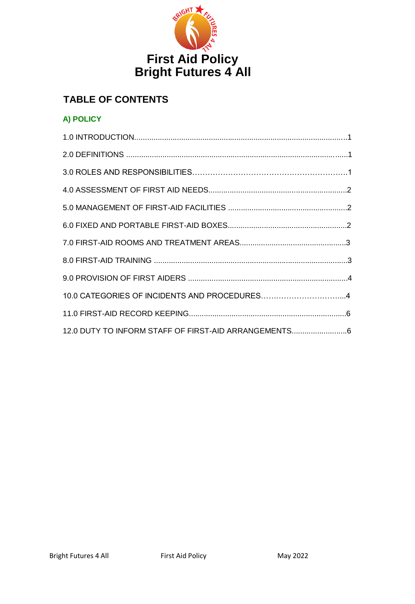

# **TABLE OF CONTENTS**

## **A) POLICY**

| 12.0 DUTY TO INFORM STAFF OF FIRST-AID ARRANGEMENTS |
|-----------------------------------------------------|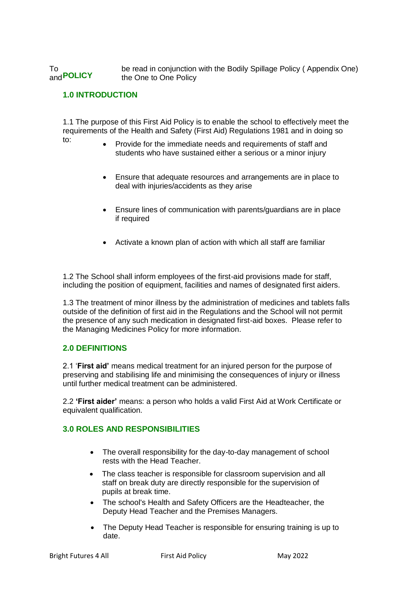To be read in conjunction with the Bodily Spillage Policy (Appendix One)<br>and **POLICY** the One to One Policy the One to One Policy

#### **1.0 INTRODUCTION**

1.1 The purpose of this First Aid Policy is to enable the school to effectively meet the requirements of the Health and Safety (First Aid) Regulations 1981 and in doing so to:

- Provide for the immediate needs and requirements of staff and students who have sustained either a serious or a minor injury
- Ensure that adequate resources and arrangements are in place to deal with injuries/accidents as they arise
- Ensure lines of communication with parents/guardians are in place if required
- Activate a known plan of action with which all staff are familiar

1.2 The School shall inform employees of the first-aid provisions made for staff, including the position of equipment, facilities and names of designated first aiders.

1.3 The treatment of minor illness by the administration of medicines and tablets falls outside of the definition of first aid in the Regulations and the School will not permit the presence of any such medication in designated first-aid boxes. Please refer to the Managing Medicines Policy for more information.

#### **2.0 DEFINITIONS**

2.1 '**First aid'** means medical treatment for an injured person for the purpose of preserving and stabilising life and minimising the consequences of injury or illness until further medical treatment can be administered.

2.2 **'First aider'** means: a person who holds a valid First Aid at Work Certificate or equivalent qualification.

#### **3.0 ROLES AND RESPONSIBILITIES**

- The overall responsibility for the day-to-day management of school rests with the Head Teacher.
- The class teacher is responsible for classroom supervision and all staff on break duty are directly responsible for the supervision of pupils at break time.
- The school's Health and Safety Officers are the Headteacher, the Deputy Head Teacher and the Premises Managers.
- The Deputy Head Teacher is responsible for ensuring training is up to date.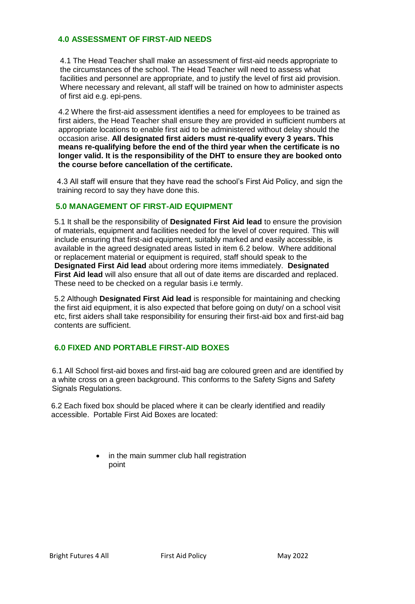#### **4.0 ASSESSMENT OF FIRST-AID NEEDS**

4.1 The Head Teacher shall make an assessment of first-aid needs appropriate to the circumstances of the school. The Head Teacher will need to assess what facilities and personnel are appropriate, and to justify the level of first aid provision. Where necessary and relevant, all staff will be trained on how to administer aspects of first aid e.g. epi-pens.

4.2 Where the first-aid assessment identifies a need for employees to be trained as first aiders, the Head Teacher shall ensure they are provided in sufficient numbers at appropriate locations to enable first aid to be administered without delay should the occasion arise. **All designated first aiders must re-qualify every 3 years. This means re-qualifying before the end of the third year when the certificate is no longer valid. It is the responsibility of the DHT to ensure they are booked onto the course before cancellation of the certificate.**

4.3 All staff will ensure that they have read the school's First Aid Policy, and sign the training record to say they have done this.

#### **5.0 MANAGEMENT OF FIRST-AID EQUIPMENT**

5.1 It shall be the responsibility of **Designated First Aid lead** to ensure the provision of materials, equipment and facilities needed for the level of cover required. This will include ensuring that first-aid equipment, suitably marked and easily accessible, is available in the agreed designated areas listed in item 6.2 below. Where additional or replacement material or equipment is required, staff should speak to the **Designated First Aid lead** about ordering more items immediately. **Designated First Aid lead** will also ensure that all out of date items are discarded and replaced. These need to be checked on a regular basis i.e termly.

5.2 Although **Designated First Aid lead** is responsible for maintaining and checking the first aid equipment, it is also expected that before going on duty/ on a school visit etc, first aiders shall take responsibility for ensuring their first-aid box and first-aid bag contents are sufficient.

### **6.0 FIXED AND PORTABLE FIRST-AID BOXES**

6.1 All School first-aid boxes and first-aid bag are coloured green and are identified by a white cross on a green background. This conforms to the Safety Signs and Safety Signals Regulations.

6.2 Each fixed box should be placed where it can be clearly identified and readily accessible. Portable First Aid Boxes are located:

> • in the main summer club hall registration point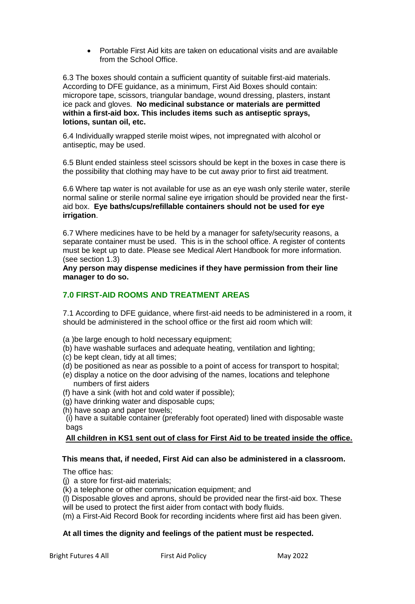Portable First Aid kits are taken on educational visits and are available from the School Office.

6.3 The boxes should contain a sufficient quantity of suitable first-aid materials. According to DFE guidance, as a minimum, First Aid Boxes should contain: micropore tape, scissors, triangular bandage, wound dressing, plasters, instant ice pack and gloves. **No medicinal substance or materials are permitted within a first-aid box. This includes items such as antiseptic sprays, lotions, suntan oil, etc.** 

6.4 Individually wrapped sterile moist wipes, not impregnated with alcohol or antiseptic, may be used.

6.5 Blunt ended stainless steel scissors should be kept in the boxes in case there is the possibility that clothing may have to be cut away prior to first aid treatment.

6.6 Where tap water is not available for use as an eye wash only sterile water, sterile normal saline or sterile normal saline eye irrigation should be provided near the firstaid box. **Eye baths/cups/refillable containers should not be used for eye irrigation**.

6.7 Where medicines have to be held by a manager for safety/security reasons, a separate container must be used. This is in the school office. A register of contents must be kept up to date. Please see Medical Alert Handbook for more information. (see section 1.3)

**Any person may dispense medicines if they have permission from their line manager to do so.** 

#### **7.0 FIRST-AID ROOMS AND TREATMENT AREAS**

7.1 According to DFE guidance, where first-aid needs to be administered in a room, it should be administered in the school office or the first aid room which will:

- (a )be large enough to hold necessary equipment;
- (b) have washable surfaces and adequate heating, ventilation and lighting;
- (c) be kept clean, tidy at all times;
- (d) be positioned as near as possible to a point of access for transport to hospital;
- (e) display a notice on the door advising of the names, locations and telephone numbers of first aiders
- (f) have a sink (with hot and cold water if possible);
- (g) have drinking water and disposable cups;
- (h) have soap and paper towels;

(i) have a suitable container (preferably foot operated) lined with disposable waste bags

#### **All children in KS1 sent out of class for First Aid to be treated inside the office.**

#### **This means that, if needed, First Aid can also be administered in a classroom.**

The office has:

- (j) a store for first-aid materials;
- (k) a telephone or other communication equipment; and
- (l) Disposable gloves and aprons, should be provided near the first-aid box. These will be used to protect the first aider from contact with body fluids.
- (m) a First-Aid Record Book for recording incidents where first aid has been given.

#### **At all times the dignity and feelings of the patient must be respected.**

Bright Futures 4 All **First Aid Policy** May 2022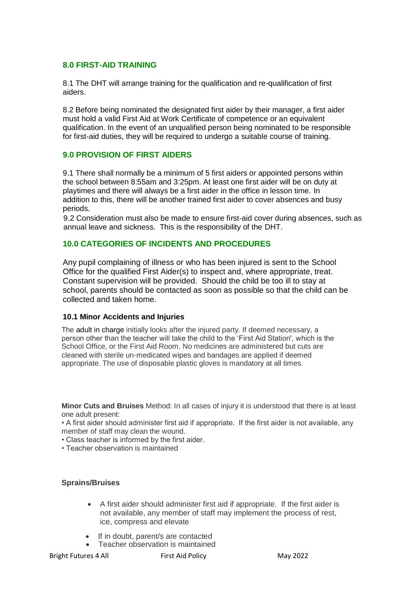#### **8.0 FIRST-AID TRAINING**

8.1 The DHT will arrange training for the qualification and re-qualification of first aiders.

8.2 Before being nominated the designated first aider by their manager, a first aider must hold a valid First Aid at Work Certificate of competence or an equivalent qualification. In the event of an unqualified person being nominated to be responsible for first-aid duties, they will be required to undergo a suitable course of training.

#### **9.0 PROVISION OF FIRST AIDERS**

9.1 There shall normally be a minimum of 5 first aiders or appointed persons within the school between 8:55am and 3:25pm. At least one first aider will be on duty at playtimes and there will always be a first aider in the office in lesson time. In addition to this, there will be another trained first aider to cover absences and busy periods.

9.2 Consideration must also be made to ensure first-aid cover during absences, such as annual leave and sickness. This is the responsibility of the DHT.

#### **10.0 CATEGORIES OF INCIDENTS AND PROCEDURES**

Any pupil complaining of illness or who has been injured is sent to the School Office for the qualified First Aider(s) to inspect and, where appropriate, treat. Constant supervision will be provided. Should the child be too ill to stay at school, parents should be contacted as soon as possible so that the child can be collected and taken home.

#### **10.1 Minor Accidents and Injuries**

The adult in charge initially looks after the injured party. If deemed necessary, a person other than the teacher will take the child to the 'First Aid Station', which is the School Office, or the First Aid Room. No medicines are administered but cuts are cleaned with sterile un-medicated wipes and bandages are applied if deemed appropriate. The use of disposable plastic gloves is mandatory at all times.

**Minor Cuts and Bruises** Method: In all cases of injury it is understood that there is at least one adult present:

• A first aider should administer first aid if appropriate. If the first aider is not available, any member of staff may clean the wound.

- Class teacher is informed by the first aider.
- Teacher observation is maintained

#### **Sprains/Bruises**

- A first aider should administer first aid if appropriate. If the first aider is not available, any member of staff may implement the process of rest, ice, compress and elevate
- If in doubt, parent/s are contacted
- Teacher observation is maintained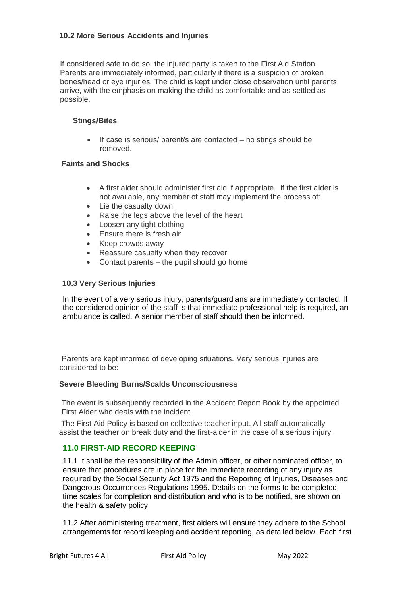#### **10.2 More Serious Accidents and Injuries**

If considered safe to do so, the injured party is taken to the First Aid Station. Parents are immediately informed, particularly if there is a suspicion of broken bones/head or eye injuries. The child is kept under close observation until parents arrive, with the emphasis on making the child as comfortable and as settled as possible.

#### **Stings/Bites**

 $\bullet$  If case is serious/ parent/s are contacted – no stings should be removed.

#### **Faints and Shocks**

- A first aider should administer first aid if appropriate. If the first aider is not available, any member of staff may implement the process of:
- Lie the casualty down
- Raise the legs above the level of the heart
- Loosen any tight clothing
- Ensure there is fresh air
- Keep crowds away
- Reassure casualty when they recover
- Contact parents the pupil should go home

#### **10.3 Very Serious Injuries**

In the event of a very serious injury, parents/guardians are immediately contacted. If the considered opinion of the staff is that immediate professional help is required, an ambulance is called. A senior member of staff should then be informed.

Parents are kept informed of developing situations. Very serious injuries are considered to be:

#### **Severe Bleeding Burns/Scalds Unconsciousness**

The event is subsequently recorded in the Accident Report Book by the appointed First Aider who deals with the incident.

The First Aid Policy is based on collective teacher input. All staff automatically assist the teacher on break duty and the first-aider in the case of a serious injury.

#### **11.0 FIRST-AID RECORD KEEPING**

11.1 It shall be the responsibility of the Admin officer, or other nominated officer, to ensure that procedures are in place for the immediate recording of any injury as required by the Social Security Act 1975 and the Reporting of Injuries, Diseases and Dangerous Occurrences Regulations 1995. Details on the forms to be completed, time scales for completion and distribution and who is to be notified, are shown on the health & safety policy.

11.2 After administering treatment, first aiders will ensure they adhere to the School arrangements for record keeping and accident reporting, as detailed below. Each first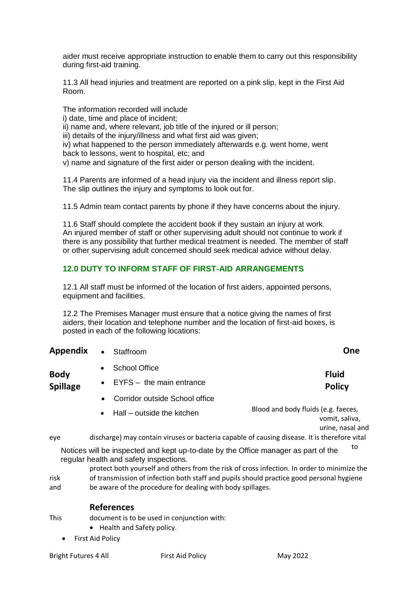aider must receive appropriate instruction to enable them to carry out this responsibility during first-aid training.

11.3 All head injuries and treatment are reported on a pink slip, kept in the First Aid Room.

The information recorded will include i) date, time and place of incident; ii) name and, where relevant, job title of the injured or ill person; iii) details of the injury/illness and what first aid was given; iv) what happened to the person immediately afterwards e.g. went home, went back to lessons, went to hospital, etc; and v) name and signature of the first aider or person dealing with the incident.

11.4 Parents are informed of a head injury via the incident and illness report slip. The slip outlines the injury and symptoms to look out for.

11.5 Admin team contact parents by phone if they have concerns about the injury.

11.6 Staff should complete the accident book if they sustain an injury at work. An injured member of staff or other supervising adult should not continue to work if there is any possibility that further medical treatment is needed. The member of staff or other supervising adult concerned should seek medical advice without delay.

### **12.0 DUTY TO INFORM STAFF OF FIRST-AID ARRANGEMENTS**

12.1 All staff must be informed of the location of first aiders, appointed persons, equipment and facilities.

12.2 The Premises Manager must ensure that a notice giving the names of first aiders, their location and telephone number and the location of first-aid boxes, is posted in each of the following locations:

| Appendix                       | Staffroom<br>$\bullet$                                                                       | One                                                                       |  |
|--------------------------------|----------------------------------------------------------------------------------------------|---------------------------------------------------------------------------|--|
|                                | School Office<br>$\bullet$                                                                   | <b>Fluid</b>                                                              |  |
| <b>Body</b><br><b>Spillage</b> | $EYFS -$ the main entrance                                                                   | <b>Policy</b>                                                             |  |
|                                | Corridor outside School office<br>$\bullet$                                                  |                                                                           |  |
|                                | Hall – outside the kitchen<br>$\bullet$                                                      | Blood and body fluids (e.g. faeces,<br>vomit, saliva,<br>urine, nasal and |  |
| eye                            | discharge) may contain viruses or bacteria capable of causing disease. It is therefore vital |                                                                           |  |

Notices will be inspected and kept up-to-date by the Office manager as part of the regular health and safety inspections.

protect both yourself and others from the risk of cross infection. In order to minimize the risk of transmission of infection both staff and pupils should practice good personal hygiene and be aware of the procedure for dealing with body spillages.

#### **References**

This document is to be used in conjunction with:

- Health and Safety policy.
- First Aid Policy

Bright Futures 4 All First Aid Policy From May 2022

to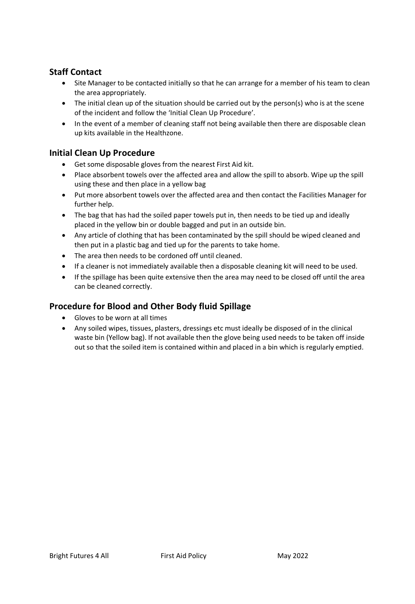## **Staff Contact**

- Site Manager to be contacted initially so that he can arrange for a member of his team to clean the area appropriately.
- The initial clean up of the situation should be carried out by the person(s) who is at the scene of the incident and follow the 'Initial Clean Up Procedure'.
- In the event of a member of cleaning staff not being available then there are disposable clean up kits available in the Healthzone.

## **Initial Clean Up Procedure**

- Get some disposable gloves from the nearest First Aid kit.
- Place absorbent towels over the affected area and allow the spill to absorb. Wipe up the spill using these and then place in a yellow bag
- Put more absorbent towels over the affected area and then contact the Facilities Manager for further help.
- The bag that has had the soiled paper towels put in, then needs to be tied up and ideally placed in the yellow bin or double bagged and put in an outside bin.
- Any article of clothing that has been contaminated by the spill should be wiped cleaned and then put in a plastic bag and tied up for the parents to take home.
- The area then needs to be cordoned off until cleaned.
- If a cleaner is not immediately available then a disposable cleaning kit will need to be used.
- If the spillage has been quite extensive then the area may need to be closed off until the area can be cleaned correctly.

## **Procedure for Blood and Other Body fluid Spillage**

- Gloves to be worn at all times
- Any soiled wipes, tissues, plasters, dressings etc must ideally be disposed of in the clinical waste bin (Yellow bag). If not available then the glove being used needs to be taken off inside out so that the soiled item is contained within and placed in a bin which is regularly emptied.